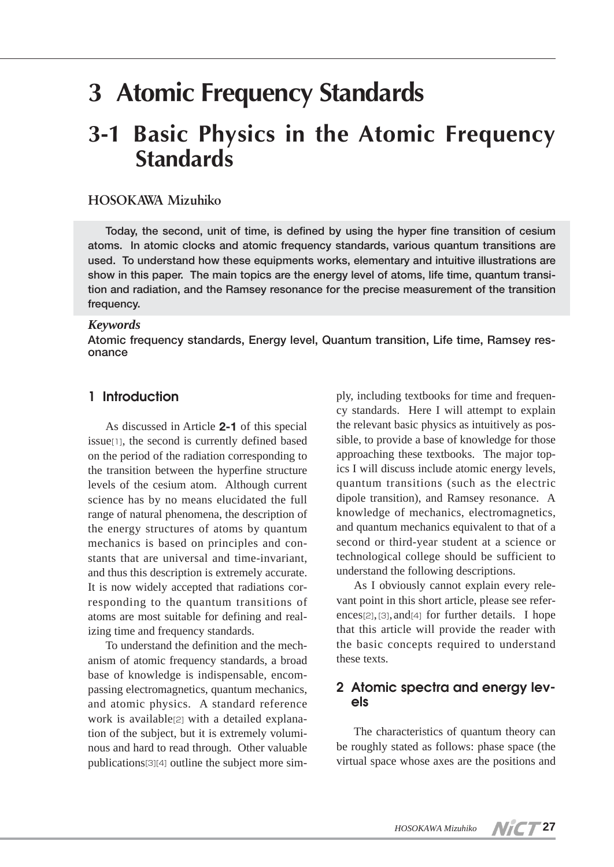# **3 Atomic Frequency Standards**

## **3-1 Basic Physics in the Atomic Frequency Standards**

#### **HOSOKAWA Mizuhiko**

**Today, the second, unit of time, is defined by using the hyper fine transition of cesium atoms. In atomic clocks and atomic frequency standards, various quantum transitions are used. To understand how these equipments works, elementary and intuitive illustrations are show in this paper. The main topics are the energy level of atoms, life time, quantum transition and radiation, and the Ramsey resonance for the precise measurement of the transition frequency.**

#### *Keywords*

**Atomic frequency standards, Energy level, Quantum transition, Life time, Ramsey resonance**

### **1 Introduction**

As discussed in Article **2-1** of this special issue[1], the second is currently defined based on the period of the radiation corresponding to the transition between the hyperfine structure levels of the cesium atom. Although current science has by no means elucidated the full range of natural phenomena, the description of the energy structures of atoms by quantum mechanics is based on principles and constants that are universal and time-invariant, and thus this description is extremely accurate. It is now widely accepted that radiations corresponding to the quantum transitions of atoms are most suitable for defining and realizing time and frequency standards.

To understand the definition and the mechanism of atomic frequency standards, a broad base of knowledge is indispensable, encompassing electromagnetics, quantum mechanics, and atomic physics. A standard reference work is available[2] with a detailed explanation of the subject, but it is extremely voluminous and hard to read through. Other valuable publications[3][4] outline the subject more sim-

ply, including textbooks for time and frequency standards. Here I will attempt to explain the relevant basic physics as intuitively as possible, to provide a base of knowledge for those approaching these textbooks. The major topics I will discuss include atomic energy levels, quantum transitions (such as the electric dipole transition), and Ramsey resonance. A knowledge of mechanics, electromagnetics, and quantum mechanics equivalent to that of a second or third-year student at a science or technological college should be sufficient to understand the following descriptions.

As I obviously cannot explain every relevant point in this short article, please see references[2],[3],and[4] for further details. I hope that this article will provide the reader with the basic concepts required to understand these texts.

#### **2 Atomic spectra and energy levels**

The characteristics of quantum theory can be roughly stated as follows: phase space (the virtual space whose axes are the positions and

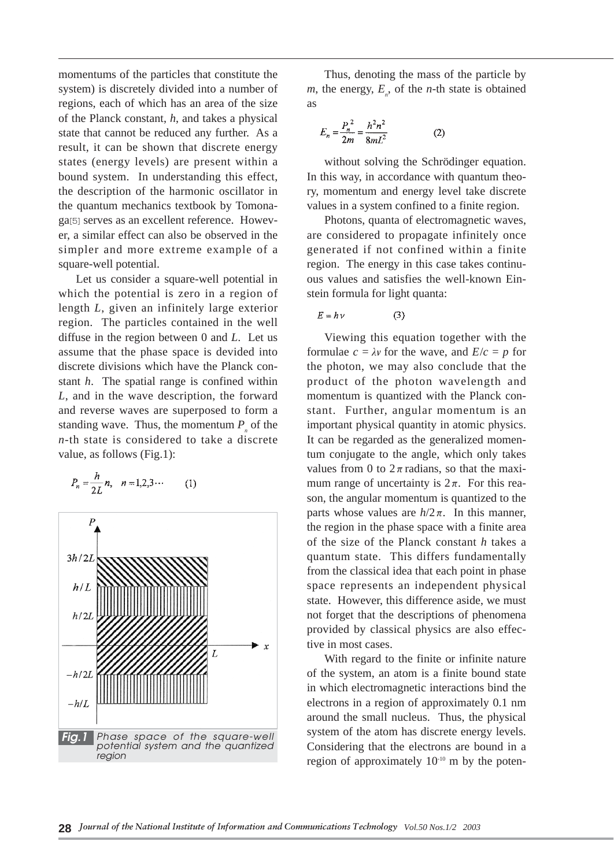momentums of the particles that constitute the system) is discretely divided into a number of regions, each of which has an area of the size of the Planck constant, *h*, and takes a physical state that cannot be reduced any further. As a result, it can be shown that discrete energy states (energy levels) are present within a bound system. In understanding this effect, the description of the harmonic oscillator in the quantum mechanics textbook by Tomonaga[5] serves as an excellent reference. However, a similar effect can also be observed in the simpler and more extreme example of a square-well potential.

Let us consider a square-well potential in which the potential is zero in a region of length *L*, given an infinitely large exterior region. The particles contained in the well diffuse in the region between 0 and *L*. Let us assume that the phase space is devided into discrete divisions which have the Planck constant *h*. The spatial range is confined within *L*, and in the wave description, the forward and reverse waves are superposed to form a standing wave. Thus, the momentum  $P_{p}$  of the *n*-th state is considered to take a discrete value, as follows (Fig.1):

$$
P_n = \frac{h}{2L} n, \quad n = 1, 2, 3 \cdots \tag{1}
$$



Thus, denoting the mass of the particle by  $m$ , the energy,  $E_n$ , of the *n*-th state is obtained as

$$
E_n = \frac{P_n^2}{2m} = \frac{h^2 n^2}{8mL^2}
$$
 (2)

without solving the Schrödinger equation. In this way, in accordance with quantum theory, momentum and energy level take discrete values in a system confined to a finite region.

Photons, quanta of electromagnetic waves, are considered to propagate infinitely once generated if not confined within a finite region. The energy in this case takes continuous values and satisfies the well-known Einstein formula for light quanta:

$$
E = h \nu \tag{3}
$$

Viewing this equation together with the formulae  $c = \lambda v$  for the wave, and  $E/c = p$  for the photon, we may also conclude that the product of the photon wavelength and momentum is quantized with the Planck constant. Further, angular momentum is an important physical quantity in atomic physics. It can be regarded as the generalized momentum conjugate to the angle, which only takes values from 0 to  $2\pi$  radians, so that the maximum range of uncertainty is  $2\pi$ . For this reason, the angular momentum is quantized to the parts whose values are  $h/2π$ . In this manner, the region in the phase space with a finite area of the size of the Planck constant *h* takes a quantum state. This differs fundamentally from the classical idea that each point in phase space represents an independent physical state. However, this difference aside, we must not forget that the descriptions of phenomena provided by classical physics are also effective in most cases.

With regard to the finite or infinite nature of the system, an atom is a finite bound state in which electromagnetic interactions bind the electrons in a region of approximately 0.1 nm around the small nucleus. Thus, the physical system of the atom has discrete energy levels. Considering that the electrons are bound in a region of approximately 10-10 m by the poten-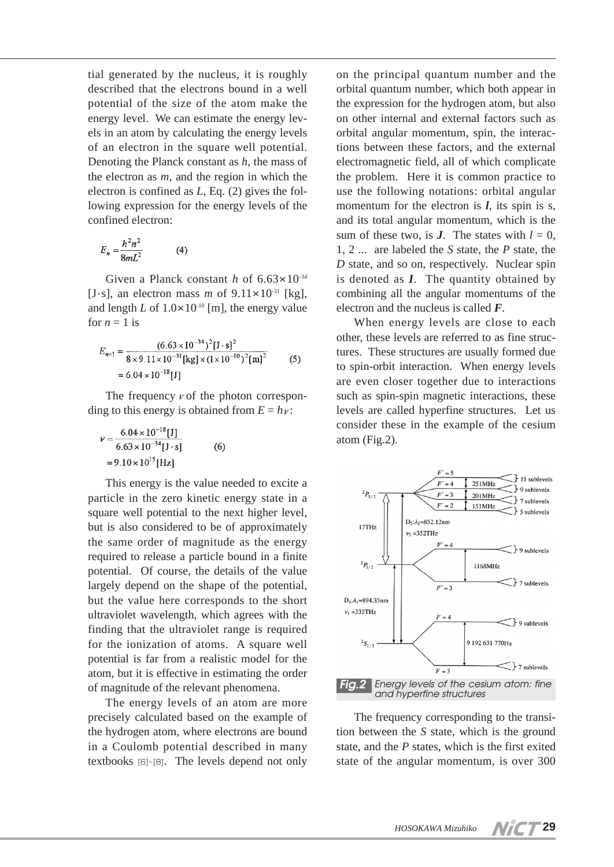tial generated by the nucleus, it is roughly described that the electrons bound in a well potential of the size of the atom make the energy level. We can estimate the energy levels in an atom by calculating the energy levels of an electron in the square well potential. Denoting the Planck constant as *h*, the mass of the electron as *m*, and the region in which the electron is confined as *L*, Eq. (2) gives the following expression for the energy levels of the confined electron:

$$
E_n = \frac{h^2 n^2}{8mL^2} \tag{4}
$$

Given a Planck constant *h* of 6.63 $\times$ 10<sup>-34</sup> [J·s], an electron mass *m* of  $9.11 \times 10^{-31}$  [kg], and length  $L$  of  $1.0 \times 10^{-10}$  [m], the energy value for  $n = 1$  is

$$
E_{n=1} = \frac{(6.63 \times 10^{-34})^2 [J \cdot s]^2}{8 \times 9.11 \times 10^{-31} [kg] \times (1 \times 10^{-10})^2 [m]^2}
$$
 (5)  
= 6.04 × 10<sup>-18</sup> [J]

The frequency  $\nu$  of the photon corresponding to this energy is obtained from  $E = h\nu$ :

$$
\nu = \frac{6.04 \times 10^{-18} [J]}{6.63 \times 10^{-34} [J \cdot s]}
$$
 (6)  
= 9.10 × 10<sup>15</sup> [Hz]

This energy is the value needed to excite a particle in the zero kinetic energy state in a square well potential to the next higher level, but is also considered to be of approximately the same order of magnitude as the energy required to release a particle bound in a finite potential. Of course, the details of the value largely depend on the shape of the potential, but the value here corresponds to the short ultraviolet wavelength, which agrees with the finding that the ultraviolet range is required for the ionization of atoms. A square well potential is far from a realistic model for the atom, but it is effective in estimating the order of magnitude of the relevant phenomena.

The energy levels of an atom are more precisely calculated based on the example of the hydrogen atom, where electrons are bound in a Coulomb potential described in many textbooks [6]-[8]. The levels depend not only

on the principal quantum number and the orbital quantum number, which both appear in the expression for the hydrogen atom, but also on other internal and external factors such as orbital angular momentum, spin, the interactions between these factors, and the external electromagnetic field, all of which complicate the problem. Here it is common practice to use the following notations: orbital angular momentum for the electron is *l*, its spin is *s*, and its total angular momentum, which is the sum of these two, is *J*. The states with  $l = 0$ , 1, 2 ... are labeled the *S* state, the *P* state, the *D* state, and so on, respectively. Nuclear spin is denoted as *I*. The quantity obtained by combining all the angular momentums of the electron and the nucleus is called *F*.

When energy levels are close to each other, these levels are referred to as fine structures. These structures are usually formed due to spin-orbit interaction. When energy levels are even closer together due to interactions such as spin-spin magnetic interactions, these levels are called hyperfine structures. Let us consider these in the example of the cesium atom (Fig.2).



The frequency corresponding to the transition between the *S* state, which is the ground state, and the *P* states, which is the first exited state of the angular momentum, is over 300

**VICT 29**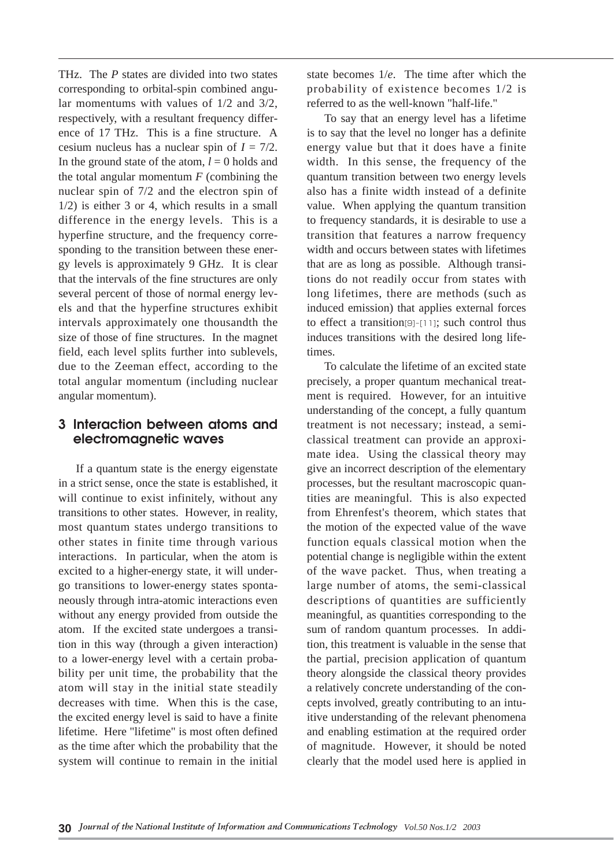THz. The *P* states are divided into two states corresponding to orbital-spin combined angular momentums with values of 1/2 and 3/2, respectively, with a resultant frequency difference of 17 THz. This is a fine structure. A cesium nucleus has a nuclear spin of  $I = 7/2$ . In the ground state of the atom,  $l = 0$  holds and the total angular momentum *F* (combining the nuclear spin of 7/2 and the electron spin of 1/2) is either 3 or 4, which results in a small difference in the energy levels. This is a hyperfine structure, and the frequency corresponding to the transition between these energy levels is approximately 9 GHz. It is clear that the intervals of the fine structures are only several percent of those of normal energy levels and that the hyperfine structures exhibit intervals approximately one thousandth the size of those of fine structures. In the magnet field, each level splits further into sublevels, due to the Zeeman effect, according to the total angular momentum (including nuclear angular momentum).

#### **3 Interaction between atoms and electromagnetic waves**

If a quantum state is the energy eigenstate in a strict sense, once the state is established, it will continue to exist infinitely, without any transitions to other states. However, in reality, most quantum states undergo transitions to other states in finite time through various interactions. In particular, when the atom is excited to a higher-energy state, it will undergo transitions to lower-energy states spontaneously through intra-atomic interactions even without any energy provided from outside the atom. If the excited state undergoes a transition in this way (through a given interaction) to a lower-energy level with a certain probability per unit time, the probability that the atom will stay in the initial state steadily decreases with time. When this is the case, the excited energy level is said to have a finite lifetime. Here "lifetime" is most often defined as the time after which the probability that the system will continue to remain in the initial

state becomes 1/*e*. The time after which the probability of existence becomes 1/2 is referred to as the well-known "half-life."

To say that an energy level has a lifetime is to say that the level no longer has a definite energy value but that it does have a finite width. In this sense, the frequency of the quantum transition between two energy levels also has a finite width instead of a definite value. When applying the quantum transition to frequency standards, it is desirable to use a transition that features a narrow frequency width and occurs between states with lifetimes that are as long as possible. Although transitions do not readily occur from states with long lifetimes, there are methods (such as induced emission) that applies external forces to effect a transition[9]-[11]; such control thus induces transitions with the desired long lifetimes.

To calculate the lifetime of an excited state precisely, a proper quantum mechanical treatment is required. However, for an intuitive understanding of the concept, a fully quantum treatment is not necessary; instead, a semiclassical treatment can provide an approximate idea. Using the classical theory may give an incorrect description of the elementary processes, but the resultant macroscopic quantities are meaningful. This is also expected from Ehrenfest's theorem, which states that the motion of the expected value of the wave function equals classical motion when the potential change is negligible within the extent of the wave packet. Thus, when treating a large number of atoms, the semi-classical descriptions of quantities are sufficiently meaningful, as quantities corresponding to the sum of random quantum processes. In addition, this treatment is valuable in the sense that the partial, precision application of quantum theory alongside the classical theory provides a relatively concrete understanding of the concepts involved, greatly contributing to an intuitive understanding of the relevant phenomena and enabling estimation at the required order of magnitude. However, it should be noted clearly that the model used here is applied in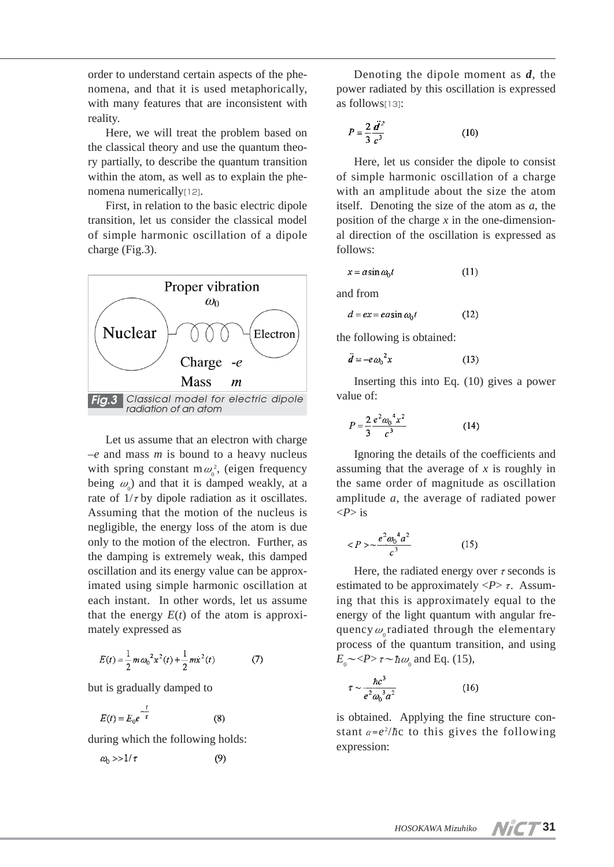order to understand certain aspects of the phenomena, and that it is used metaphorically, with many features that are inconsistent with reality.

Here, we will treat the problem based on the classical theory and use the quantum theory partially, to describe the quantum transition within the atom, as well as to explain the phenomena numerically[12].

First, in relation to the basic electric dipole transition, let us consider the classical model of simple harmonic oscillation of a dipole charge (Fig.3).



Let us assume that an electron with charge –*e* and mass *m* is bound to a heavy nucleus with spring constant  $m\omega_0^2$ , (eigen frequency being  $\omega_0$ ) and that it is damped weakly, at a rate of  $1/\tau$  by dipole radiation as it oscillates. Assuming that the motion of the nucleus is negligible, the energy loss of the atom is due only to the motion of the electron. Further, as the damping is extremely weak, this damped oscillation and its energy value can be approximated using simple harmonic oscillation at each instant. In other words, let us assume that the energy  $E(t)$  of the atom is approximately expressed as

$$
E(t) = \frac{1}{2}m\omega_0^2 x^2(t) + \frac{1}{2}m\dot{x}^2(t)
$$
 (7)

but is gradually damped to

$$
E(t) = E_0 e^{-\frac{t}{\tau}} \tag{8}
$$

during which the following holds:

$$
\omega_0 \gg 1/\tau \tag{9}
$$

Denoting the dipole moment as *d*, the power radiated by this oscillation is expressed as follows<sup>[13]</sup>:

$$
P = \frac{2}{3} \frac{\mathbf{d}^2}{c^3} \tag{10}
$$

Here, let us consider the dipole to consist of simple harmonic oscillation of a charge with an amplitude about the size the atom itself. Denoting the size of the atom as *a*, the position of the charge *x* in the one-dimensional direction of the oscillation is expressed as follows:

$$
x = a \sin \omega_0 t \tag{11}
$$

and from

 $d = ex = e a \sin \omega_0 t$  $(12)$ 

the following is obtained:

$$
\ddot{\mathbf{d}} = -e \omega_0^2 x \tag{13}
$$

Inserting this into Eq. (10) gives a power value of:

$$
P = \frac{2}{3} \frac{e^2 \omega_0^4 x^2}{c^3} \tag{14}
$$

Ignoring the details of the coefficients and assuming that the average of *x* is roughly in the same order of magnitude as oscillation amplitude *a*, the average of radiated power <*P*> is

$$
\langle P \rangle \sim \frac{e^2 \omega_0^4 a^2}{c^3} \tag{15}
$$

Here, the radiated energy over  $\tau$  seconds is estimated to be approximately  $\langle P \rangle \tau$ . Assuming that this is approximately equal to the energy of the light quantum with angular frequency  $\omega$  radiated through the elementary process of the quantum transition, and using  $E_{\scriptscriptstyle 0}$   $\!\sim$   $\!<$   $\!P$   $\!\sim$   $\!\tau$   $\!\sim$   $\!\hbar \omega_{\scriptscriptstyle 0}$  and Eq. (15),

$$
\tau \sim \frac{\hbar c^3}{e^2 \omega_0^3 a^2} \tag{16}
$$

is obtained. Applying the fine structure constant  $\alpha = e^2/\hbar c$  to this gives the following expression:

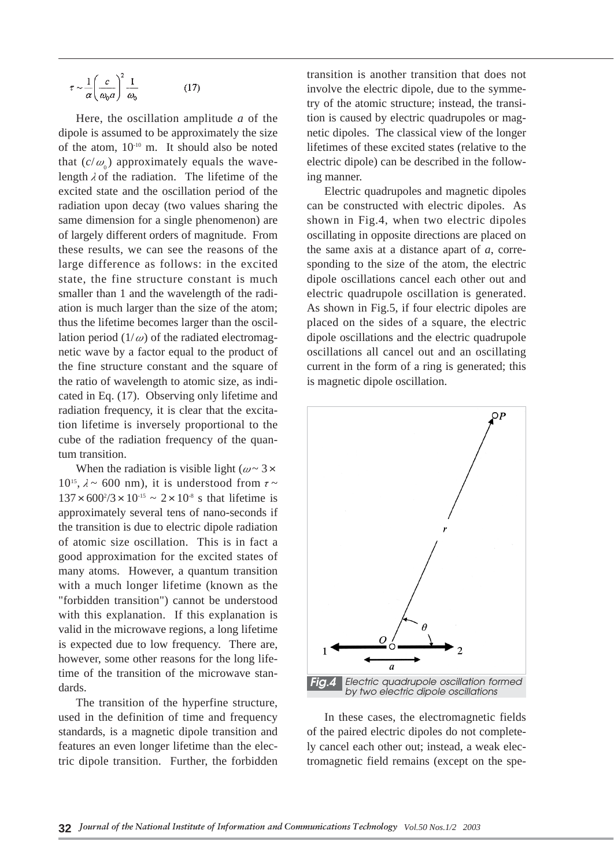$$
\tau \sim \frac{1}{\alpha} \left( \frac{c}{\omega_0 a} \right)^2 \frac{1}{\omega_0} \tag{17}
$$

Here, the oscillation amplitude *a* of the dipole is assumed to be approximately the size of the atom, 10-10 m. It should also be noted that  $(c/\omega_0)$  approximately equals the wavelength  $\lambda$  of the radiation. The lifetime of the excited state and the oscillation period of the radiation upon decay (two values sharing the same dimension for a single phenomenon) are of largely different orders of magnitude. From these results, we can see the reasons of the large difference as follows: in the excited state, the fine structure constant is much smaller than 1 and the wavelength of the radiation is much larger than the size of the atom; thus the lifetime becomes larger than the oscillation period  $(1/\omega)$  of the radiated electromagnetic wave by a factor equal to the product of the fine structure constant and the square of the ratio of wavelength to atomic size, as indicated in Eq. (17). Observing only lifetime and radiation frequency, it is clear that the excitation lifetime is inversely proportional to the cube of the radiation frequency of the quantum transition.

When the radiation is visible light ( $\omega \sim 3 \times$  $10^{15}$ ,  $\lambda \sim 600$  nm), it is understood from  $\tau \sim$  $137 \times 600^{2}/3 \times 10^{-15} \sim 2 \times 10^{8}$  s that lifetime is approximately several tens of nano-seconds if the transition is due to electric dipole radiation of atomic size oscillation. This is in fact a good approximation for the excited states of many atoms. However, a quantum transition with a much longer lifetime (known as the "forbidden transition") cannot be understood with this explanation. If this explanation is valid in the microwave regions, a long lifetime is expected due to low frequency. There are, however, some other reasons for the long lifetime of the transition of the microwave standards.

The transition of the hyperfine structure, used in the definition of time and frequency standards, is a magnetic dipole transition and features an even longer lifetime than the electric dipole transition. Further, the forbidden

transition is another transition that does not involve the electric dipole, due to the symmetry of the atomic structure; instead, the transition is caused by electric quadrupoles or magnetic dipoles. The classical view of the longer lifetimes of these excited states (relative to the electric dipole) can be described in the following manner.

Electric quadrupoles and magnetic dipoles can be constructed with electric dipoles. As shown in Fig.4, when two electric dipoles oscillating in opposite directions are placed on the same axis at a distance apart of *a*, corresponding to the size of the atom, the electric dipole oscillations cancel each other out and electric quadrupole oscillation is generated. As shown in Fig.5, if four electric dipoles are placed on the sides of a square, the electric dipole oscillations and the electric quadrupole oscillations all cancel out and an oscillating current in the form of a ring is generated; this is magnetic dipole oscillation.



In these cases, the electromagnetic fields of the paired electric dipoles do not completely cancel each other out; instead, a weak electromagnetic field remains (except on the spe-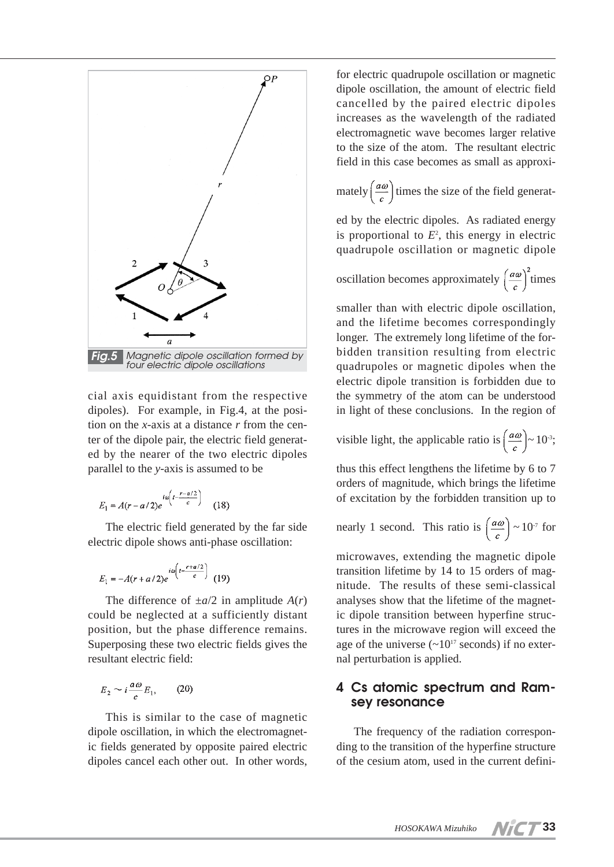

cial axis equidistant from the respective dipoles). For example, in Fig.4, at the position on the *x*-axis at a distance *r* from the center of the dipole pair, the electric field generated by the nearer of the two electric dipoles parallel to the *y*-axis is assumed to be

$$
E_1 = A(r - a/2)e^{ia\left(t - \frac{r - a/2}{c}\right)} \tag{18}
$$

The electric field generated by the far side electric dipole shows anti-phase oscillation:

$$
E_1 = -A(r+a/2)e^{i\omega\left(t - \frac{r+a/2}{c}\right)} \tag{19}
$$

The difference of  $\pm a/2$  in amplitude  $A(r)$ could be neglected at a sufficiently distant position, but the phase difference remains. Superposing these two electric fields gives the resultant electric field:

$$
E_2 \sim i \frac{a\omega}{c} E_1,\qquad(20)
$$

This is similar to the case of magnetic dipole oscillation, in which the electromagnetic fields generated by opposite paired electric dipoles cancel each other out. In other words,

for electric quadrupole oscillation or magnetic dipole oscillation, the amount of electric field cancelled by the paired electric dipoles increases as the wavelength of the radiated electromagnetic wave becomes larger relative to the size of the atom. The resultant electric field in this case becomes as small as approxi-

mately  $\left(\frac{a\omega}{c}\right)$  times the size of the field generat-

ed by the electric dipoles. As radiated energy is proportional to  $E<sup>2</sup>$ , this energy in electric quadrupole oscillation or magnetic dipole

oscillation becomes approximately 
$$
\left(\frac{a\omega}{c}\right)^2
$$
 times

smaller than with electric dipole oscillation, and the lifetime becomes correspondingly longer. The extremely long lifetime of the forbidden transition resulting from electric quadrupoles or magnetic dipoles when the electric dipole transition is forbidden due to the symmetry of the atom can be understood in light of these conclusions. In the region of

visible light, the applicable ratio is  $\left(\frac{a\omega}{c}\right) \sim 10^{-3}$ ;

thus this effect lengthens the lifetime by 6 to 7 orders of magnitude, which brings the lifetime of excitation by the forbidden transition up to

nearly 1 second. This ratio is 
$$
\left(\frac{a\omega}{c}\right) \sim 10^7
$$
 for

microwaves, extending the magnetic dipole transition lifetime by 14 to 15 orders of magnitude. The results of these semi-classical analyses show that the lifetime of the magnetic dipole transition between hyperfine structures in the microwave region will exceed the age of the universe  $(\sim 10^{17}$  seconds) if no external perturbation is applied.

### **4 Cs atomic spectrum and Ramsey resonance**

The frequency of the radiation corresponding to the transition of the hyperfine structure of the cesium atom, used in the current defini-

**33**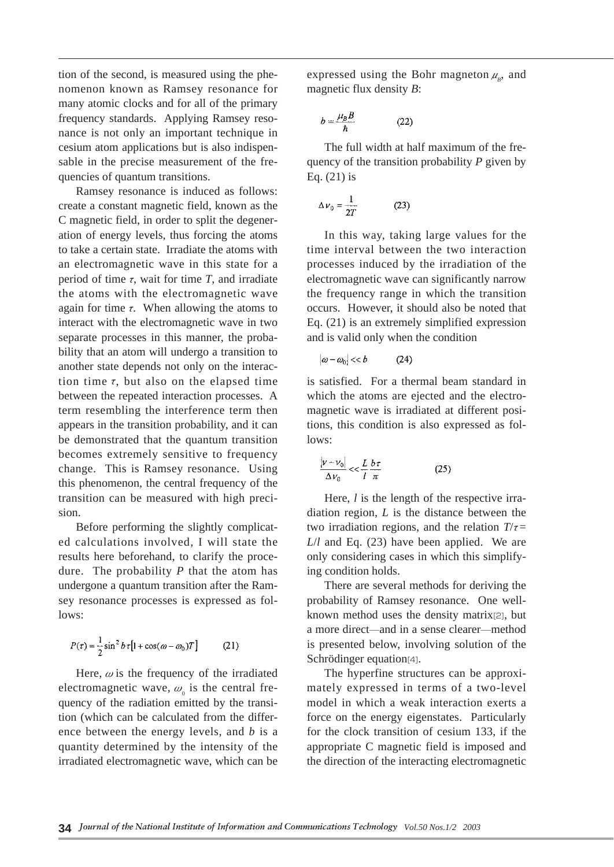tion of the second, is measured using the phenomenon known as Ramsey resonance for many atomic clocks and for all of the primary frequency standards. Applying Ramsey resonance is not only an important technique in cesium atom applications but is also indispensable in the precise measurement of the frequencies of quantum transitions.

Ramsey resonance is induced as follows: create a constant magnetic field, known as the C magnetic field, in order to split the degeneration of energy levels, thus forcing the atoms to take a certain state. Irradiate the atoms with an electromagnetic wave in this state for a period of time  $\tau$ , wait for time  $T$ , and irradiate the atoms with the electromagnetic wave again for time  $\tau$ . When allowing the atoms to interact with the electromagnetic wave in two separate processes in this manner, the probability that an atom will undergo a transition to another state depends not only on the interaction time  $\tau$ , but also on the elapsed time between the repeated interaction processes. A term resembling the interference term then appears in the transition probability, and it can be demonstrated that the quantum transition becomes extremely sensitive to frequency change. This is Ramsey resonance. Using this phenomenon, the central frequency of the transition can be measured with high precision.

Before performing the slightly complicated calculations involved, I will state the results here beforehand, to clarify the procedure. The probability *P* that the atom has undergone a quantum transition after the Ramsey resonance processes is expressed as follows:

$$
P(\tau) = \frac{1}{2}\sin^2 b \tau [1 + \cos(\omega - \omega_0)T] \tag{21}
$$

Here,  $\omega$  is the frequency of the irradiated electromagnetic wave,  $\omega$  is the central frequency of the radiation emitted by the transition (which can be calculated from the difference between the energy levels, and *b* is a quantity determined by the intensity of the irradiated electromagnetic wave, which can be

expressed using the Bohr magneton  $\mu$ <sub>*B*</sub>, and magnetic flux density *B*:

$$
b = \frac{\mu_B B}{\hbar} \tag{22}
$$

The full width at half maximum of the frequency of the transition probability *P* given by Eq. (21) is

$$
\Delta \nu_0 = \frac{1}{2T} \tag{23}
$$

In this way, taking large values for the time interval between the two interaction processes induced by the irradiation of the electromagnetic wave can significantly narrow the frequency range in which the transition occurs. However, it should also be noted that Eq. (21) is an extremely simplified expression and is valid only when the condition

$$
|\omega - \omega_0| \ll b \tag{24}
$$

is satisfied. For a thermal beam standard in which the atoms are ejected and the electromagnetic wave is irradiated at different positions, this condition is also expressed as follows:

$$
\frac{|\nu - \nu_0|}{\Delta \nu_0} << \frac{L b \tau}{l \pi}
$$
 (25)

Here, *l* is the length of the respective irradiation region, *L* is the distance between the two irradiation regions, and the relation  $T/\tau=$ *L*/*l* and Eq. (23) have been applied. We are only considering cases in which this simplifying condition holds.

There are several methods for deriving the probability of Ramsey resonance. One wellknown method uses the density matrix[2], but a more direct―and in a sense clearer―method is presented below, involving solution of the Schrödinger equation[4].

The hyperfine structures can be approximately expressed in terms of a two-level model in which a weak interaction exerts a force on the energy eigenstates. Particularly for the clock transition of cesium 133, if the appropriate C magnetic field is imposed and the direction of the interacting electromagnetic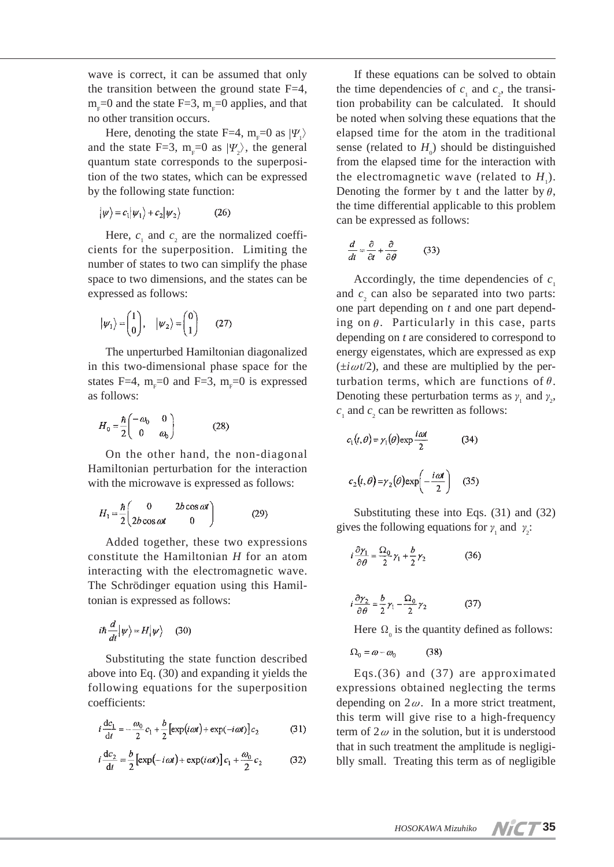wave is correct, it can be assumed that only the transition between the ground state  $F=4$ ,  $m_{F}$ =0 and the state F=3,  $m_{F}$ =0 applies, and that no other transition occurs.

Here, denoting the state F=4,  $m_F=0$  as  $|\Psi_1\rangle$ and the state F=3,  $m_F=0$  as  $|\Psi_2\rangle$ , the general quantum state corresponds to the superposition of the two states, which can be expressed by the following state function:

$$
|\psi\rangle = c_1|\psi_1\rangle + c_2|\psi_2\rangle \tag{26}
$$

Here,  $c_1$  and  $c_2$  are the normalized coefficients for the superposition. Limiting the number of states to two can simplify the phase space to two dimensions, and the states can be expressed as follows:

$$
|\psi_1\rangle = \begin{pmatrix} 1 \\ 0 \end{pmatrix}, \quad |\psi_2\rangle = \begin{pmatrix} 0 \\ 1 \end{pmatrix} \qquad (27)
$$

The unperturbed Hamiltonian diagonalized in this two-dimensional phase space for the states F=4,  $m_F=0$  and F=3,  $m_F=0$  is expressed as follows:

$$
H_0 = \frac{\hbar}{2} \begin{pmatrix} -\omega_0 & 0\\ 0 & \omega_0 \end{pmatrix} \tag{28}
$$

On the other hand, the non-diagonal Hamiltonian perturbation for the interaction with the microwave is expressed as follows:

$$
H_1 = \frac{\hbar}{2} \begin{pmatrix} 0 & 2b\cos\omega t \\ 2b\cos\omega t & 0 \end{pmatrix}
$$
 (29)

Added together, these two expressions constitute the Hamiltonian *H* for an atom interacting with the electromagnetic wave. The Schrödinger equation using this Hamiltonian is expressed as follows:

$$
i\hbar \frac{d}{dt}|\psi\rangle = H|\psi\rangle \quad (30)
$$

Substituting the state function described above into Eq. (30) and expanding it yields the following equations for the superposition coefficients:

$$
i\frac{\mathrm{d}c_1}{\mathrm{d}t} = -\frac{\omega_0}{2}c_1 + \frac{b}{2}\left[\exp(i\omega t) + \exp(-i\omega t)\right]c_2\tag{31}
$$

$$
i\frac{\mathrm{d}c_2}{\mathrm{d}t} = \frac{b}{2} \left[ \exp(-i\omega t) + \exp(i\omega t) \right] c_1 + \frac{\omega_0}{2} c_2 \tag{32}
$$

If these equations can be solved to obtain the time dependencies of  $c_1$  and  $c_2$ , the transition probability can be calculated. It should be noted when solving these equations that the elapsed time for the atom in the traditional sense (related to  $H_0$ ) should be distinguished from the elapsed time for the interaction with the electromagnetic wave (related to  $H_1$ ). Denoting the former by t and the latter by  $\theta$ , the time differential applicable to this problem can be expressed as follows:

$$
\frac{d}{dt} = \frac{\partial}{\partial t} + \frac{\partial}{\partial \theta} \tag{33}
$$

Accordingly, the time dependencies of  $c<sub>1</sub>$ and  $c<sub>2</sub>$  can also be separated into two parts: one part depending on *t* and one part depending on  $\theta$ . Particularly in this case, parts depending on *t* are considered to correspond to energy eigenstates, which are expressed as exp  $(\pm i\omega t/2)$ , and these are multiplied by the perturbation terms, which are functions of  $\theta$ . Denoting these perturbation terms as  $\gamma_1$  and  $\gamma_2$ ,  $c_1$  and  $c_2$  can be rewritten as follows:

$$
c_1(t, \theta) = \gamma_1(\theta) \exp \frac{i\omega t}{2}
$$
 (34)  

$$
c_2(t, \theta) = \gamma_2(\theta) \exp \left(-\frac{i\omega t}{2}\right)
$$
 (35)

Substituting these into Eqs. (31) and (32) gives the following equations for  $\gamma_1$  and  $\gamma_2$ :

$$
i\frac{\partial \gamma_1}{\partial \theta} = \frac{\Omega_0}{2}\gamma_1 + \frac{b}{2}\gamma_2 \tag{36}
$$

$$
i\frac{\partial \gamma_2}{\partial \theta} = \frac{b}{2}\gamma_1 - \frac{\Omega_0}{2}\gamma_2 \tag{37}
$$

Here  $\Omega_0$  is the quantity defined as follows:

$$
\Omega_0 = \omega - \omega_0 \tag{38}
$$

Eqs.(36) and (37) are approximated expressions obtained neglecting the terms depending on  $2\omega$ . In a more strict treatment, this term will give rise to a high-frequency term of  $2\omega$  in the solution, but it is understood that in such treatment the amplitude is negligiblly small. Treating this term as of negligible

**35**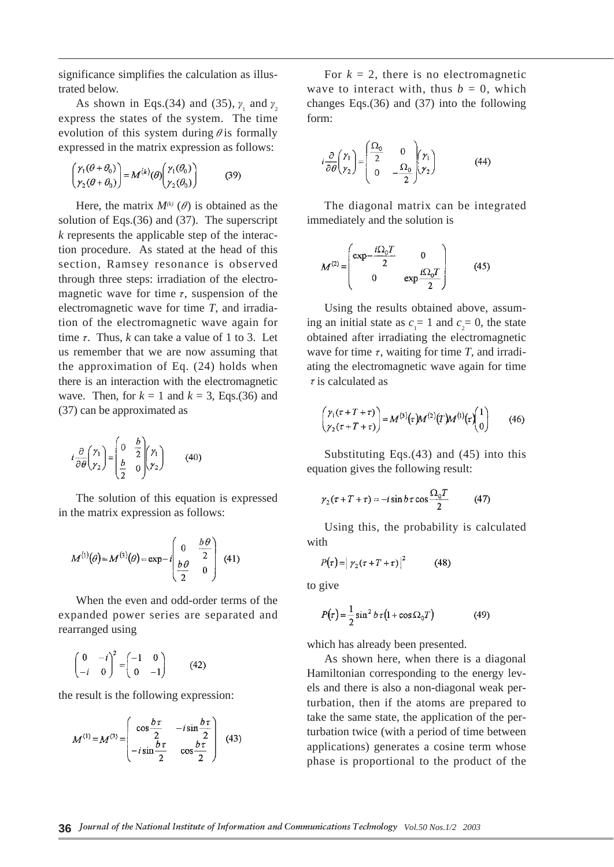significance simplifies the calculation as illustrated below.

As shown in Eqs.(34) and (35),  $\gamma_1$  and  $\gamma_2$ express the states of the system. The time evolution of this system during  $\theta$  is formally expressed in the matrix expression as follows:

$$
\begin{pmatrix} \gamma_1(\theta + \theta_0) \\ \gamma_2(\theta + \theta_0) \end{pmatrix} = M^{(k)}(\theta) \begin{pmatrix} \gamma_1(\theta_0) \\ \gamma_2(\theta_0) \end{pmatrix}
$$
 (39)

Here, the matrix  $M^{(k)}(\theta)$  is obtained as the solution of Eqs.(36) and (37). The superscript *k* represents the applicable step of the interaction procedure. As stated at the head of this section, Ramsey resonance is observed through three steps: irradiation of the electromagnetic wave for time  $\tau$ , suspension of the electromagnetic wave for time *T*, and irradiation of the electromagnetic wave again for time  $\tau$ . Thus,  $k$  can take a value of 1 to 3. Let us remember that we are now assuming that the approximation of Eq. (24) holds when there is an interaction with the electromagnetic wave. Then, for  $k = 1$  and  $k = 3$ , Eqs.(36) and (37) can be approximated as

$$
i\frac{\partial}{\partial \theta} \begin{pmatrix} \gamma_1 \\ \gamma_2 \end{pmatrix} = \begin{pmatrix} 0 & \frac{b}{2} \\ \frac{b}{2} & 0 \end{pmatrix} \begin{pmatrix} \gamma_1 \\ \gamma_2 \end{pmatrix} \tag{40}
$$

The solution of this equation is expressed in the matrix expression as follows:

$$
M^{(1)}(\theta) = M^{(3)}(\theta) = \exp{-i\left(\begin{array}{cc} 0 & \frac{b\theta}{2} \\ \frac{b\theta}{2} & 0 \end{array}\right)} \quad (41)
$$

When the even and odd-order terms of the expanded power series are separated and rearranged using

$$
\begin{pmatrix} 0 & -i \\ -i & 0 \end{pmatrix}^2 = \begin{pmatrix} -1 & 0 \\ 0 & -1 \end{pmatrix}
$$
 (42)

the result is the following expression:

$$
M^{(1)} = M^{(3)} = \begin{pmatrix} \cos \frac{b\tau}{2} & -i \sin \frac{b\tau}{2} \\ -i \sin \frac{b\tau}{2} & \cos \frac{b\tau}{2} \end{pmatrix}
$$
 (43)

For  $k = 2$ , there is no electromagnetic wave to interact with, thus  $b = 0$ , which changes Eqs.(36) and (37) into the following form:

$$
i\frac{\partial}{\partial \theta} \begin{pmatrix} \gamma_1 \\ \gamma_2 \end{pmatrix} = \begin{pmatrix} \frac{\Omega_0}{2} & 0 \\ 0 & -\frac{\Omega_0}{2} \end{pmatrix} \begin{pmatrix} \gamma_1 \\ \gamma_2 \end{pmatrix}
$$
(44)

The diagonal matrix can be integrated immediately and the solution is

$$
M^{(2)} = \begin{pmatrix} \exp{-\frac{i\Omega_0 T}{2}} & 0\\ 0 & \exp{\frac{i\Omega_0 T}{2}} \end{pmatrix}
$$
 (45)

Using the results obtained above, assuming an initial state as  $c_1 = 1$  and  $c_2 = 0$ , the state obtained after irradiating the electromagnetic wave for time  $\tau$ , waiting for time  $T$ , and irradiating the electromagnetic wave again for time  $\tau$  is calculated as

$$
\begin{pmatrix} \gamma_1(\tau+T+\tau) \\ \gamma_2(\tau+T+\tau) \end{pmatrix} = M^{(3)}(\tau)M^{(2)}(T)M^{(1)}(\tau)\begin{pmatrix} 1 \\ 0 \end{pmatrix} \tag{46}
$$

Substituting Eqs.(43) and (45) into this equation gives the following result:

$$
\gamma_2(\tau + T + \tau) = -i \sin b \tau \cos \frac{\Omega_0 T}{2} \tag{47}
$$

Using this, the probability is calculated with

$$
P(\tau) = |\gamma_2(\tau + T + \tau)|^2 \tag{48}
$$

to give

$$
P(\tau) = \frac{1}{2}\sin^2 b \tau (1 + \cos \Omega_0 T) \tag{49}
$$

which has already been presented.

As shown here, when there is a diagonal Hamiltonian corresponding to the energy levels and there is also a non-diagonal weak perturbation, then if the atoms are prepared to take the same state, the application of the perturbation twice (with a period of time between applications) generates a cosine term whose phase is proportional to the product of the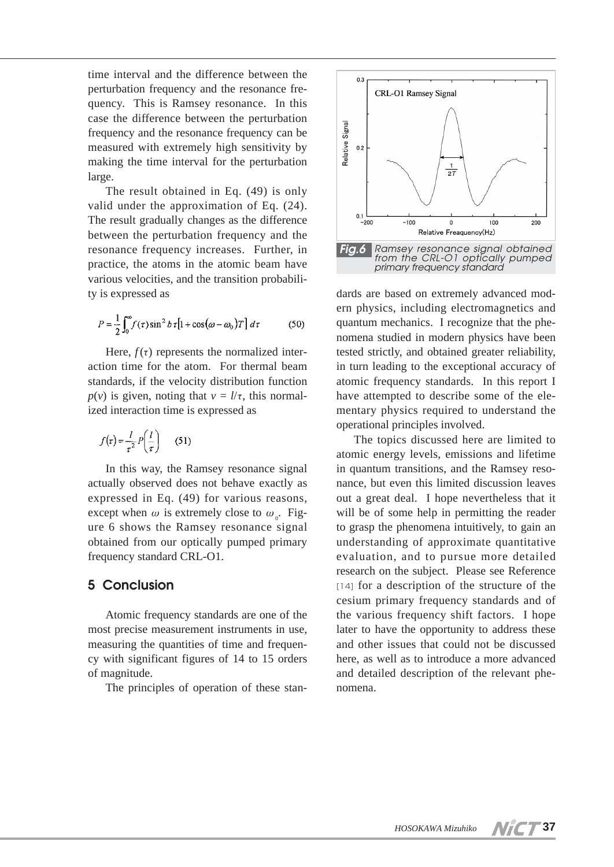time interval and the difference between the perturbation frequency and the resonance frequency. This is Ramsey resonance. In this case the difference between the perturbation frequency and the resonance frequency can be measured with extremely high sensitivity by making the time interval for the perturbation large.

The result obtained in Eq. (49) is only valid under the approximation of Eq. (24). The result gradually changes as the difference between the perturbation frequency and the resonance frequency increases. Further, in practice, the atoms in the atomic beam have various velocities, and the transition probability is expressed as

$$
P = \frac{1}{2} \int_0^{\infty} f(\tau) \sin^2 b \tau \left[ 1 + \cos(\omega - \omega_0) T \right] d\tau \tag{50}
$$

Here,  $f(\tau)$  represents the normalized interaction time for the atom. For thermal beam standards, if the velocity distribution function *p*(*v*) is given, noting that  $v = l/\tau$ , this normalized interaction time is expressed as

$$
f(\tau) = \frac{l}{\tau^2} P\left(\frac{l}{\tau}\right) \qquad (51)
$$

In this way, the Ramsey resonance signal actually observed does not behave exactly as expressed in Eq. (49) for various reasons, except when  $\omega$  is extremely close to  $\omega_{0}$ . Figure 6 shows the Ramsey resonance signal obtained from our optically pumped primary frequency standard CRL-O1.

#### **5 Conclusion**

Atomic frequency standards are one of the most precise measurement instruments in use, measuring the quantities of time and frequency with significant figures of 14 to 15 orders of magnitude.

The principles of operation of these stan-



dards are based on extremely advanced modern physics, including electromagnetics and quantum mechanics. I recognize that the phenomena studied in modern physics have been tested strictly, and obtained greater reliability, in turn leading to the exceptional accuracy of atomic frequency standards. In this report I have attempted to describe some of the elementary physics required to understand the operational principles involved.

The topics discussed here are limited to atomic energy levels, emissions and lifetime in quantum transitions, and the Ramsey resonance, but even this limited discussion leaves out a great deal. I hope nevertheless that it will be of some help in permitting the reader to grasp the phenomena intuitively, to gain an understanding of approximate quantitative evaluation, and to pursue more detailed research on the subject. Please see Reference [14] for a description of the structure of the cesium primary frequency standards and of the various frequency shift factors. I hope later to have the opportunity to address these and other issues that could not be discussed here, as well as to introduce a more advanced and detailed description of the relevant phenomena.

**37**